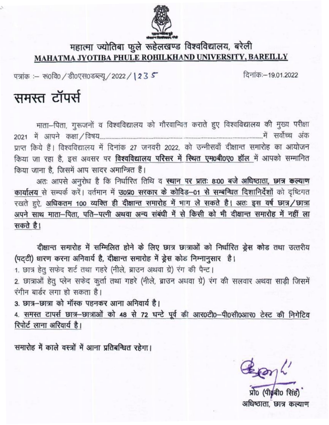

## महात्मा ज्योतिबा फुले रूहेलखण्ड विश्वविद्यालय, बरेली MAHATMA JYOTIBA PHULE ROHILKHAND UNIVERSITY, BAREILLY

पत्रांक :- रू0वि0 / डी0एस0डब्ल्यू / 2022 / 1235

दिनांक:-19,01,2022

## समस्त टॉपर्स

माता-पिता, गुरूजनों व विश्वविद्यालय को गौरवान्वित कराते हुए विश्वविद्यालय की मुख्य परीक्षा प्राप्त किये हैं। विश्वविद्यालय में दिनांक 27 जनवरी 2022, को उन्नीसवाँ दीक्षान्त समारोह का आयोजन किया जा रहा है, इस अवसर पर विश्वविद्यालय परिसर में स्थित एम0बी0ए0 हॉल में आपको सम्मानित किया जाना है. जिसमें आप सादर अमान्त्रित हैं।

अतः आपसे अनुरोध है कि निर्धारित तिथि व स्थान पर प्रातः 8:00 बजे अधिष्ठाता, छात्र कल्याण कार्यालय से सम्पर्क करें। वर्तमान में उ0प्र0 सरकार के कोविड-01 से सम्बन्धित दिशानिर्देशों को दृष्टिगत रखते हुऐ, अधिकतम 100 व्यक्ति ही दीक्षान्त समारोह में भाग ले सकते है। अतः इस वर्ष छात्र/छात्रा अपने साथ माता—पिता, पति—पत्नी अथवा अन्य संबंधी में से किसी को भी दीक्षान्त समारोह में नहीं ला सकते है।

दीक्षान्त समारोह में सम्मिलित होने के लिए छात्र छात्राओं को निर्धारित ड्रेस कोड तथा उत्तरीय (पट्टी) धारण करना अनिवार्य है, दीक्षान्त समारोह में ड्रेस कोड निम्नानुसार है।

1. छात्र हेतु सफेद शर्ट तथा गहरे (नीले, ब्राउन अथवा ग्रे) रंग की पैन्ट।

2. छात्राओं हेतू प्लेन सफेद कुर्ता तथा गहरे (नीले, ब्राउन अधवा ग्रे) रंग की सलवार अथवा साड़ी जिसमें रंगीन बार्डर लगा हो सकता है।

3. छात्र-छात्रा को मॉस्क पहनकर आना अनिवार्य है।

4. समस्त टापर्स छात्र-छात्राओं को 48 से 72 घन्टे पूर्व की आर0टी0-पी0सी0आर0 टेस्ट की निगेटिव रिपोर्ट लाना अरिवार्य है।

समारोह में काले वस्त्रों में आना प्रतिबन्धित रहेगा।

Benh

अधिष्ठाता, छात्र कल्याण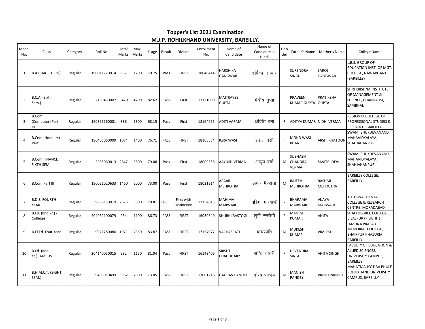## **Topper's List 2021 Examination** M.J.P. ROHILKHAND UNIVERSITY, BAREILLY.

| Medal<br>No.   | Class                                | Category | Roll No.     | Total<br>Marks | Max.<br>Marks | % age | Result      | Divison                   | Enrollment<br>No. | Name of<br>Candidate             | Name of<br>Candidate in<br>Hindi | Gen<br>der | Father's Name                             | Mother's Name                    | <b>College Name</b>                                                                            |
|----------------|--------------------------------------|----------|--------------|----------------|---------------|-------|-------------|---------------------------|-------------------|----------------------------------|----------------------------------|------------|-------------------------------------------|----------------------------------|------------------------------------------------------------------------------------------------|
| 1              | <b>B.A.(PART THIRD)</b>              | Regular  | 190011720014 | 957            | 1200          | 79.75 | Pass        | <b>FIRST</b>              | 18040414          | HARSHIKA<br>GANGWAR              | हर्षिका गंगवार                   | F          | SURENDRA<br>SINGH                         | SAROJ<br>GANGWAR                 | L.B.S. GROUP OF<br>EDUCATION INST. OF MGT.<br>COLLEGE, NAWABGANJ<br>(BAREILLY)                 |
| $\overline{2}$ | B.C.A. (Sixth<br>Sem.)               | Regular  | 2189430007   | 3470           | 4200          | 82.62 | PASS        | First                     | 17121000          | <b>MAITRAYEE</b><br><b>GUPTA</b> | मैत्रीय गुप्ता                   | E          | PRAVEEN<br>KUMAR GUPTA GUPTA              | PRATIKSHA                        | SHRI KRISHNA INSTITUTE<br>OF MANAGEMENT &<br>SCIENCE, CHANDAUSI,<br>SAMBHAL                    |
| $\overline{3}$ | <b>B.Com</b><br>(Computer) Part<br>Ш | Regular  | 190391160001 | 886            | 1300          | 68.15 | Pass        | First                     | 18164265          | <b>ADITI VARMA</b>               | अदिति वर्मा                      | F.         | ADITYA KUMAR NIDHI VERMA                  |                                  | REGIONAL COLLEGE OF<br>PROFESSIONAL STUDEIS &<br>RESEARCH, BAREILLY.                           |
| $\overline{4}$ | <b>B.Com (Honours)</b><br>Part III   | Regular  | 190405060009 | 1074           | 1400          | 76.71 | PASS        | <b>FIRST</b>              | 18165584          | <b>IQRA WASI</b>                 | इकरा वसी                         | F          | MOHD WASI<br>KHAN                         | <b>ARSHI KHATOON</b>             | SWAMI SHUKDEVANAND<br>MAHAVIDYALAYA,<br>SHAHJAHANPUR                                           |
| 5              | <b>B.Com FINANCE</b><br>SIXTH SEM.   | Regular  | 2935060013   | 2847           | 3600          | 79.08 | Pass        | First                     | 18009356          | AAYUSH VERMA                     | आयुष वर्मा                       | M          | <b>SUBHASH</b><br><b>CHANDRA</b><br>VERMA | <b>SAVITRI DEVI</b>              | SWAMI SHUKDEVANAND<br>MAHAVIDYALAYA,<br>SHAHJAHANPUR                                           |
| -6             | <b>B.Com Part III</b>                | Regular  | 190021020633 | 1460           | 2000          | 73.00 | Pass        | First                     | 18021914          | APAAR<br><b>MEHROTRA</b>         | अपार मैहरोत्रा                   | M          | RAJEEV<br><b>MEHROTRA</b>                 | <b>RASHMI</b><br><b>MEHROTRA</b> | <b>BAREILLY COLLEGE,</b><br><b>BAREILLY</b>                                                    |
| $\overline{7}$ | <b>B.D.S. FOURTH</b><br><b>YEAR</b>  | Regular  | 9066130019   | 2873           | 3600          | 79.81 | <b>PASS</b> | First with<br>Distinction | 17154615          | MAHIMA<br><b>MARWARI</b>         | महिमा मारवाणी                    | F          | BHARAMA<br><b>MARWARI</b>                 | VIJAYA<br><b>MARWARI</b>         | KOTHIWAL DENTAL<br><b>COLLEGE &amp; RESEARCH</b><br>CENTRE, MORADABAD                          |
| 8              | B.Ed. (IInd Yr.) -<br>Colleges       | Regular  | 204032100079 | 954            | 1100          | 86.73 | PASS        | <b>FIRST</b>              | 16030340          | SHUBHI RASTOGI                   | शुभी रस्तोगी                     | F          | MAHESH<br>KUMAR                           | ANITA                            | SHAFI DEGREE COLLEGE,<br><b>BISALPUR (PILIBHIT)</b>                                            |
| 9              | B.El.Ed. Four Year                   | Regular  | 9921280080   | 1971           | 2350          | 83.87 | PASS        | <b>FIRST</b>              | 17154977          | VACHASPATI                       | वाचस्पति                         | M          | <b>MUKESH</b><br>KUMAR                    | VIMLESH                          | <b>JAMUNA PRASAD</b><br>MEMORIAL COLLEGE,<br>BHAIRPUR KHAZURIA,<br><b>BAREILLY.</b>            |
| 10             | B.Ed. (IInd<br>Yr.)CAMPUS            | Regular  | 204140050015 | 932            | 1150          | 81.04 | Pass        | <b>FIRST</b>              | 16143406          | SRISHTI<br><b>CHAUDHARY</b>      | सृष्टि चौधरी                     | F          | DEVENDRA<br><b>SINGH</b>                  | <b>ANITA SINGH</b>               | <b>FACULTY OF EDUCATION &amp;</b><br>ALLIED SCIENCES,<br>UNIVERSITY CAMPUS,<br><b>BAREILLY</b> |
| 11             | B.H.M.C.T. (EIGHT<br>SEM.)           | Regular  | 9409010499   | 5552           | 7600          | 73.05 | PASS        | <b>FIRST</b>              | 17001218          | <b>GAURAV PANDEY</b>             | गौरव पाण्डेय                     | M          | MANISH<br>PANDEY                          | <b>VINDU PANDEY</b>              | MAHATMA JYOTIBA PHULE<br>ROHILKHAND UNIVERSITY<br>CAMPUS, BAREILLY                             |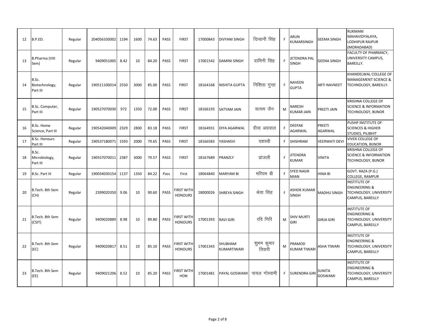| 12 | B.P.ED.                             | Regular | 204056330002 | 1194 | 1600 | 74.63 | PASS        | <b>FIRST</b>                        | 17000843 | <b>DIVYANI SINGH</b>   | दिव्यानी सिंह        | F  | ARUN<br>KUMARSINGH               | SEEMA SINGH              | <b>RUKMANI</b><br>MAHAVIDYALAYA,<br>LODHIPUR RAJPUR<br>(MORADABAD)                            |
|----|-------------------------------------|---------|--------------|------|------|-------|-------------|-------------------------------------|----------|------------------------|----------------------|----|----------------------------------|--------------------------|-----------------------------------------------------------------------------------------------|
| 13 | <b>B.Pharma (VIII</b><br>Sem)       | Regular | 9409051005   | 8.42 | 10   | 84.20 | PASS        | <b>FIRST</b>                        | 17001542 | <b>DAMINI SINGH</b>    | दामिनी सिंह          | F  | JETENDRA PAL<br>SINGH            | <b>GEENA SINGH</b>       | FACULTY OF PHARMACY,<br>UNIVERSITY CAMPUS,<br>BAREILLY.                                       |
| 14 | B.Sc.<br>Biotechnology,<br>Part III | Regular | 190511100014 | 2550 | 3000 | 85.00 | <b>PASS</b> | <b>FIRST</b>                        | 18164168 | <b>NISHITA GUPTA</b>   | निशिता गुप्ता        | F  | NAVEEN<br><b>GUPTA</b>           | <b>ARTI NAVNEET</b>      | KHANDELWAL COLLEGE OF<br><b>MANAGEMENT SCIENCE &amp;</b><br>TECHNOLOGY, BAREILLY.             |
| 15 | B.Sc. Computer,<br>Part III         | Regular | 190527070030 | 972  | 1350 | 72.00 | PASS        | <b>FIRST</b>                        | 18166193 | <b>SATYAM JAIN</b>     | सत्यम जैन            | M  | NARESH<br>KUMAR JAIN             | PREETI JAIN              | <b>KRISHNA COLLEGE OF</b><br><b>SCIENCE &amp; INFORMATION</b><br>TECHNOLOGY, BIJNOR           |
| 16 | B.Sc. Home<br>Science, Part III     | Regular | 190542040009 | 2329 | 2800 | 83.18 | PASS        | <b>FIRST</b>                        | 18164931 | <b>DIYA AGARWAL</b>    | दीया अग्रवाल         | F  | <b>DEEPAK</b><br><b>AGARWAL</b>  | PREETI<br><b>AGARWAL</b> | PUSHP INSTITUTE OF<br><b>SCIENCES &amp; HIGHER</b><br>STUDIES, PILIBHIT                       |
| 17 | <b>B.Sc. Honours</b><br>Part III    | Regular | 190537180071 | 1593 | 2000 | 79.65 | PASS        | <b>FIRST</b>                        | 18166583 | YASHASVI               | यशस्वी               | F. | <b>SHISHRAM</b>                  | <b>VEERWATI DEVI</b>     | <b>VIVEK COLLEGE OF</b><br>EDUCATION, BIJNOR                                                  |
| 18 | B.Sc.<br>Microbiology,<br>Part III  | Regular | 190557070011 | 2387 | 3000 | 79.57 | PASS        | <b>FIRST</b>                        | 18167689 | PRANZLY                | प्रांजली             | F. | <b>JITENDRA</b><br>KUMAR         | <b>VINITA</b>            | KRISHNA COLLEGE OF<br><b>SCIENCE &amp; INFORMATION</b><br>TECHNOLOGY, BIJNOR                  |
| 19 | <b>B.Sc. Part III</b>               | Regular | 190034030154 | 1137 | 1350 | 84.22 | Pass        | First                               | 18064840 | <b>MARYAM BI</b>       | मरियम बी             | F  | <b>SYED NASIR</b><br><b>MIAN</b> | HINA BI                  | GOVT. RAZA (P.G.)<br>COLLEGE, RAMPUR                                                          |
| 20 | B.Tech. 8th Sem<br>(CH)             | Regular | 2399020350   | 9.06 | 10   | 90.60 | <b>PASS</b> | <b>FIRST WITH</b><br><b>HONOURS</b> | 18000026 | <b>SHREYA SINGH</b>    | श्रेया सिंह          | F. | ASHOK KUMAR<br><b>SINGH</b>      | MADHU SINGH              | <b>INSTITUTE OF</b><br><b>ENGINEERING &amp;</b><br>TECHNOLOGY, UNIVERSITY<br>CAMPUS, BAREILLY |
| 21 | B.Tech. 8th Sem<br>(CSIT)           | Regular | 9409020889   | 8.98 | 10   | 89.80 | PASS        | <b>FIRST WITH</b><br><b>HONOURS</b> | 17001393 | <b>RAVI GIRI</b>       | रवि गिरि             | M  | <b>SHIV MURTI</b><br>GIRI        | <b>GIRJA GIRI</b>        | <b>INSTITUTE OF</b><br><b>ENGINEERING &amp;</b><br>TECHNOLOGY, UNIVERSITY<br>CAMPUS, BAREILLY |
| 22 | B.Tech. 8th Sem<br>(EC)             | Regular | 9409020817   | 8.51 | 10   | 85.10 | PASS        | <b>FIRST WITH</b><br><b>HONOURS</b> | 17001343 | SHUBHAM<br>KUMARTIWARI | शुभम कुमार<br>तिवारी | M  | PRAMOD<br>KUMAR TIWARI           | <b>ASHA TIWARI</b>       | <b>INSTITUTE OF</b><br><b>ENGINEERING &amp;</b><br>TECHNOLOGY, UNIVERSITY<br>CAMPUS, BAREILLY |
| 23 | B.Tech. 8th Sem<br>(EE)             | Regular | 9409021206   | 8.52 | 10   | 85.20 | PASS        | <b>FIRST WITH</b><br><b>HON</b>     | 17001481 | PAYAL GOSWAMI          | पायल गोस्वामी        | F. | <b>SURENDRA GIRI</b>             | <b>SUNITA</b><br>GOSWAMI | <b>INSTITUTE OF</b><br><b>ENGINEERING &amp;</b><br>TECHNOLOGY, UNIVERSITY<br>CAMPUS, BAREILLY |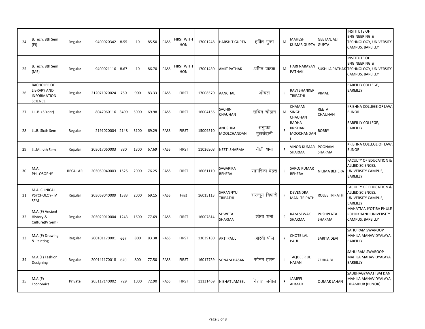| 24 | B.Tech. 8th Sem<br>(EI)                                                          | Regular        | 9409020342   | 8.55 | 10   | 85.50 | PASS | FIRST WITH<br><b>HON</b>        | 17001248 | <b>HARSHIT GUPTA</b>    | हर्षित गुप्ता        | M | MAHESH<br>KUMAR GUPTA                        | <b>GEETANJALI</b><br><b>GUPTA</b> | <b>INSTITUTE OF</b><br><b>ENGINEERING &amp;</b><br>TECHNOLOGY, UNIVERSITY<br>CAMPUS, BAREILLY                |
|----|----------------------------------------------------------------------------------|----------------|--------------|------|------|-------|------|---------------------------------|----------|-------------------------|----------------------|---|----------------------------------------------|-----------------------------------|--------------------------------------------------------------------------------------------------------------|
| 25 | B.Tech. 8th Sem<br>(ME)                                                          | Regular        | 9409021116   | 8.67 | 10   | 86.70 | PASS | <b>FIRST WITH</b><br><b>HON</b> | 17001430 | <b>AMIT PATHAK</b>      | अमित पाठक            | M | HARI NARAYAN<br><b>PATHAK</b>                |                                   | <b>INSTITUTE OF</b><br><b>ENGINEERING &amp;</b><br>SUSHILA PATHAK TECHNOLOGY, UNIVERSITY<br>CAMPUS, BAREILLY |
| 26 | <b>BACHOLER OF</b><br><b>LIBRARY AND</b><br><b>INFORMATION</b><br><b>SCIENCE</b> | Regular        | 212071020024 | 750  | 900  | 83.33 | PASS | <b>FIRST</b>                    | 17008570 | AANCHAL                 | ऑचल                  | F | RAVI SHANKER<br><b>TRIPATHI</b>              | VIMAL                             | <b>BAREILLY COLLEGE,</b><br>BAREILLY                                                                         |
| 27 | L.L.B. (5 Year)                                                                  | Regular        | 8047060116   | 3499 | 5000 | 69.98 | PASS | <b>FIRST</b>                    | 16004156 | SACHIN<br>CHAUHAN       | सचिन चौहान           | M | CHAMAN<br>SINGH<br>CHAUHAN                   | <b>REETA</b><br>CHAUHAN           | KRISHNA COLLEGE OF LAW,<br><b>BIJNOR</b>                                                                     |
| 28 | LL.B. Sixth Sem                                                                  | Regular        | 2191020004   | 2148 | 3100 | 69.29 | PASS | <b>FIRST</b>                    | 15009510 | ANUSHKA<br>MOOLCHANDANI | अनुष्का<br>मूलचंदानी |   | <b>RADHA</b><br>KRISHAN<br><b>MOOCHANDAN</b> | <b>BOBBY</b>                      | BAREILLY COLLEGE,<br>BAREILLY                                                                                |
| 29 | LL.M. Ivth Sem                                                                   | Regular        | 203017060003 | 880  | 1300 | 67.69 | PASS | <b>FIRST</b>                    | 11026908 | NEETI SHARMA            | नीती शर्मा           | F | <b>VINOD KUMAR</b><br><b>SHARMA</b>          | <b>POONAM</b><br>SHARMA           | KRISHNA COLLEGE OF LAW,<br><b>BIJNOR</b>                                                                     |
| 30 | M.A.<br>PHILOSOPHY                                                               | <b>REGULAR</b> | 203059040003 | 1525 | 2000 | 76.25 | PASS | <b>FIRST</b>                    | 16061110 | SAGARIKA<br>BEHERA      | सागरिका बेहरा        | F | SAROJ KUMAR<br><b>BEHERA</b>                 | NILIMA BEHERA                     | <b>FACULTY OF EDUCATION &amp;</b><br>ALLIED SCIENCES,<br>UNIVERSITY CAMPUS,<br><b>BAREILLY</b>               |
| 31 | M.A. CLINICAL<br>PSYCHOLOY- IV<br>SEM                                            | Regular        | 203069040009 | 1383 | 2000 | 69.15 | PASS | First                           | 16015113 | SARANNYU<br>TRIPATHI    | सरन्नूय त्रिपाठी     | F | DEVENDRA<br><b>MANI TRIPATHI</b>             | <b>ROLEE TRIPATHI</b>             | <b>FACULTY OF EDUCATION &amp;</b><br>ALLIED SCIENCES,<br>UNIVERSITY CAMPUS,<br>BAREILLY                      |
| 32 | M.A.(F) Ancient<br>History &<br>Culture(IV Sem)                                  | Regular        | 203029010004 | 1243 | 1600 | 77.69 | PASS | <b>FIRST</b>                    | 16007814 | SHWETA<br>SHARMA        | श्वेता शर्मा         | F | RAM SEWAK<br><b>SHARMA</b>                   | PUSHPLATA<br>SHARMA               | MAHATMA JYOTIBA PHULE<br>ROHILKHAND UNIVERSITY<br>CAMPUS, BAREILLY                                           |
| 33 | M.A.(F) Drawing<br>& Painting                                                    | Regular        | 200101170001 | 667  | 800  | 83.38 | PASS | <b>FIRST</b>                    | 13039180 | <b>ARTI PAUL</b>        | आरती पॉल             | E | CHOTE LAL<br>PAUL                            | <b>SARITA DEVI</b>                | SAHU RAM SWAROOP<br>MAHILA MAHAVIDYALAYA,<br>BAREILLY.                                                       |
| 34 | M.A.(F) Fashion<br>Designing                                                     | Regular        | 200141170018 | 620  | 800  | 77.50 | PASS | <b>FIRST</b>                    | 16017759 | <b>SONAM HASAN</b>      | सोनम हसन             | F | TAQDEER UL<br><b>HASAN</b>                   | ZEHRA BI                          | SAHU RAM SWAROOP<br>MAHILA MAHAVIDYALAYA,<br>BAREILLY.                                                       |
| 35 | M.A.(F)<br>Economics                                                             | Private        | 205117140002 | 729  | 1000 | 72.90 | PASS | <b>FIRST</b>                    | 11131469 | NISHAT JAMEEL           | निशात जमील           | F | JAMEEL<br>AHMAD                              | <b>QUMAR JAHAN</b>                | SAUBHAGYAVATI BAI DANI<br>MAHILA MAHAVIDYALAYA,<br>DHAMPUR (BIJNOR)                                          |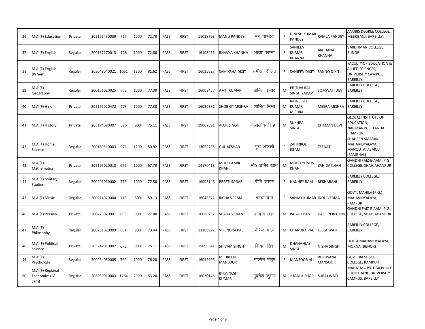| 36 | M.A.(F) Education                         | Private | 205121450039 | 727  | 1000 | 72.70 | PASS | <b>FIRST</b> | 11018793 | <b>MANU PANDEY</b>        | मनु पाण्डेय     |    | <b>DINESH KUMAR</b><br>PANDEY             | KAMLA PANDEY               | ANUBIS DEGREE COLLEGE,<br>MEERGANJ, BAREILLY.                                           |
|----|-------------------------------------------|---------|--------------|------|------|-------|------|--------------|----------|---------------------------|-----------------|----|-------------------------------------------|----------------------------|-----------------------------------------------------------------------------------------|
| 37 | M.A.(F) English                           | Regular | 200137170013 | 728  | 1000 | 72.80 | PASS | <b>FIRST</b> | 16108451 | <b>BHAVYA KHANNA</b>      | भाव्या खन्ना    | F. | SANJEEV<br><b>KUMAR</b><br>KHANNA         | <b>ARCHANA</b><br>KHANNA   | VARDHMAN COLLEGE,<br><b>BIJNOR</b>                                                      |
| 38 | M.A.(F) English<br>(IV Sem)               | Regular | 203049040021 | 1061 | 1300 | 81.62 | PASS | <b>FIRST</b> | 16015627 | <b>SAMIKSHA DIXIT</b>     | समीक्षा दीक्षित | F  | <b>SANJEEV DIXIT</b>                      | <b>SANNO DIXIT</b>         | <b>FACULTY OF EDUCATION &amp;</b><br>ALLIED SCIENCES,<br>UNIVERSITY CAMPUS,<br>BAREILLY |
| 39 | M.A.(F)<br>Geography                      | Regular | 200151020025 | 773  | 1000 | 77.30 | PASS | <b>FIRST</b> | 16008457 | <b>AMIT KUMAR</b>         | अमित कुमार      | M  | PRITHVI RAJ<br><b>SINGH YADAV</b>         | SOMWATI DEVI               | <b>BAREILLY COLLEGE,</b><br>BAREILLY                                                    |
| 40 | M.A.(F) Hindi                             | Private | 205161020472 | 773  | 1000 | 77.30 | PASS | <b>FIRST</b> | 16030331 | SHOBHIT MISHRA            | शोभित मिश्रा    | M  | RAJNEESH<br><b>KUMAR</b><br><b>MISHRA</b> | <b>MEERA MISHRA</b>        | BAREILLY COLLEGE,<br>BAREILLY                                                           |
| 41 | M.A.(F) History                           | Private | 205174090007 | 676  | 900  | 75.11 | PASS | <b>FIRST</b> | 19002891 | ALOK SINGH                | आलोक सिंह       | M  | SUKHPAL<br>SINGH                          | <b>CHAMAN DEVI</b>         | <b>GLOBAL INSTITUTE OF</b><br>EDUCATION,<br>NARAYANPUR, TANDA<br>(RAMPUR)               |
| 42 | M.A.(F) Home<br>Science                   | Regular | 200189510003 | 971  | 1200 | 80.92 | PASS | <b>FIRST</b> | 13052735 | <b>GUL AFSHAN</b>         | गुल अफशॉ        | F  | ZAHIRROL<br>ISLAM                         | ZEENAT                     | <b>SHAHEEN SMARAK</b><br>MAHAVIDYALAYA,<br>MANOUTA, ASMOLI<br>(SAMBHAL)                 |
| 43 | M.A.(F)<br>Mathematics                    | Private | 205195020018 | 677  | 1000 | 67.70 | PASS | <b>FIRST</b> | 14170418 | MOHD AMIR<br>KHAN         | मो0 अमिर खान    | M  | MOHD YUNUS<br>KHAN                        | <b>ZAHIDA KHAN</b>         | GANDHI FAIZ-E-AAM (P.G.)<br>COLLEGE, SHAHJAHANPUR                                       |
| 44 | M.A.(F) Military<br><b>Studies</b>        | Regular | 200201020002 | 775  | 1000 | 77.50 | PASS | <b>FIRST</b> | 16008146 | PREETI SAGAR              | प्रीति सागर     | F. | <b>NANHEY RAM</b>                         | REKHARANI                  | BAREILLY COLLEGE,<br>BAREILLY                                                           |
| 45 | M.A.(F) Music                             | Regular | 200214020004 | 713  | 800  | 89.13 | PASS | <b>FIRST</b> | 16048572 | RICHA VERMA               | ऋचा वर्मा       | F. | SANJAY KUMAR INDU VERMA                   |                            | GOVT. MAHILA (P.G.)<br>MAHAVIDYALAYA,<br>RAMPUR                                         |
| 46 | M.A.(F) Persian                           | Private | 200225020001 | 693  | 900  | 77.00 | PASS | <b>FIRST</b> | 16060252 | <b>SHADAB KHAN</b>        | शादाब खान       | M  | <b>ISHAK KHAN</b>                         | <b>HASEEN BEGUM</b>        | GANDHI FAIZ-E-AAM (P.G.)<br>COLLEGE, SHAHJAHANPUR                                       |
| 47 | M.A.(F)<br>Philosophy                     | Regular | 200231020003 | 661  | 900  | 73.44 | PASS | <b>FIRST</b> | 13100992 | <b>VIRENDRA PAL</b>       | वीरेन्द्र पाल   | M  | <b>CHANDRA PAL</b>                        | <b>LEELA WATI</b>          | BAREILLY COLLEGE,<br>BAREILLY                                                           |
| 48 | M.A.(F) Political<br>Science              | Private | 205247010007 | 676  | 900  | 75.11 | PASS | <b>FIRST</b> | 15099541 | SHIVAM SINGH              | शिवम सिंह       | M  | DHANANJAY<br>SINGH                        | NISHA SINGH                | DEVTA MAHAVIDYALAYA,<br>MORNA (BIJNOR)                                                  |
| 49 | M.A.(F)<br>Psychology                     | Regular | 200254030005 | 762  | 1000 | 76.20 | PASS | <b>FIRST</b> | 16049996 | MEHREEN<br><b>MANSOOR</b> | मेहरीन मंसूर    | F. | <b>MANSOOR ALI</b>                        | RUKHSANA<br><b>MANSOOR</b> | GOVT. RAZA (P.G.)<br>COLLEGE, RAMPUR                                                    |
| 50 | M.A.(F) Regional<br>Economics (IV<br>Sem) | Regular | 203039010003 | 1264 | 2000 | 63.20 | PASS | <b>FIRST</b> | 16030146 | <b>BHUVNESH</b><br>KUMAR  | भुवनेश कुमार    | M  | <b>JUGAL KISHOR</b>                       | <b>SURAJ WATI</b>          | MAHATMA JYOTIBA PHULE<br>ROHILKHAND UNIVERSITY<br>CAMPUS, BAREILLY                      |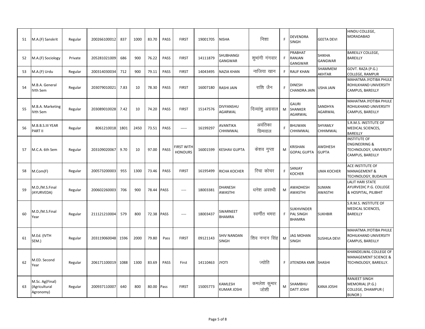| 51 | M.A.(F) Sanskrit                             | Regular | 200266100012 | 837  | 1000 | 83.70 | PASS        | <b>FIRST</b>                        | 19001705 | <b>NISHA</b>                       | निशा                | F  | DEVENDRA<br><b>SINGH</b>                               | <b>GEETA DEVI</b>               | HINDU COLLEGE,<br><b>MORADABAD</b>                                                            |
|----|----------------------------------------------|---------|--------------|------|------|-------|-------------|-------------------------------------|----------|------------------------------------|---------------------|----|--------------------------------------------------------|---------------------------------|-----------------------------------------------------------------------------------------------|
| 52 | M.A.(F) Sociology                            | Private | 205281021009 | 686  | 900  | 76.22 | PASS        | <b>FIRST</b>                        | 14111879 | SHUBHANGI<br><b>GANGWAR</b>        | शुभांगी गंगवार      | F. | PRABHAT<br><b>RANJAN</b><br>GANGWAR                    | <b>SHIKHA</b><br><b>GANGWAR</b> | <b>BAREILLY COLLEGE,</b><br>BAREILLY                                                          |
| 53 | M.A.(F) Urdu                                 | Regular | 200314030034 | 712  | 900  | 79.11 | PASS        | <b>FIRST</b>                        | 14043495 | NAZIA KHAN                         | नाजिया खान          | F. | <b>RAUF KHAN</b>                                       | SHAMMEM<br>AKHTAR               | GOVT. RAZA (P.G.)<br>COLLEGE, RAMPUR                                                          |
| 54 | M.B.A. General<br>IVth Sem                   | Regular | 203079010021 | 7.83 | 10   | 78.30 | PASS        | <b>FIRST</b>                        | 16007180 | RASHI JAIN                         | राशि जैन            | F  | <b>DINESH</b><br>CHANDRA JAIN                          | USHA JAIN                       | MAHATMA JYOTIBA PHULE<br>ROHILKHAND UNIVERSITY<br>CAMPUS, BAREILLY                            |
| 55 | M.B.A. Marketing<br>IVth Sem                 | Regular | 203089010028 | 7.42 | 10   | 74.20 | PASS        | <b>FIRST</b>                        | 15147576 | DIVYANSHU<br>AGARWAL               | दिव्यांशु अग्रवाल   | M  | GAURI<br>SHANKER<br>AGARWAL                            | SANDHYA<br>AGARWAL              | MAHATMA JYOTIBA PHULE<br>ROHILKHAND UNIVERSITY<br>CAMPUS, BAREILLY                            |
| 56 | M.B.B.S.III YEAR<br>PART II                  | Regular | 8061210018   | 1801 | 2450 | 73.51 | PASS        | -----                               | 16199297 | AVANTIKA<br>CHHIMWAL               | अवंतिका<br>छिमवाल   | F  | BHUWAN<br>CHHIMWAL                                     | SHYAMLY<br>CHHIMWAL             | S.R.M.S. INSTITUTE OF<br>MEDICAL SCIENCES,<br>BAREILLY                                        |
| 57 | M.C.A. 6th Sem                               | Regular | 203109020067 | 9.70 | 10   | 97.00 | PASS        | <b>FIRST WITH</b><br><b>HONOURS</b> | 16001599 | <b>KESHAV GUPTA</b>                | केशव गुप्ता         | M  | <b><i>RISHAN</i></b><br><b>GOPAL GUPTA</b>             | AWDHESH<br><b>GUPTA</b>         | <b>INSTITUTE OF</b><br><b>ENGINEERING &amp;</b><br>TECHNOLOGY, UNIVERSITY<br>CAMPUS, BAREILLY |
| 58 | M.Com(F)                                     | Regular | 200573200003 | 955  | 1300 | 73.46 | PASS        | <b>FIRST</b>                        | 16195499 | RICHA KOCHER                       | रिचा कोचर           | F  | SANJAY<br>KOCHER                                       | <b>UMA KOCHER</b>               | ACE INSTITUTE OF<br><b>MANAGEMENT &amp;</b><br>TECHNOLOGY, BUDAUN                             |
| 59 | M.D./M.S.Final<br>(AYURVEDA)                 | Regular | 200602260003 | 706  | 900  | 78.44 | PASS        | $1 - 1$                             | 18003381 | <b>DHANESH</b><br><b>AWASTHI</b>   | धनेश अवस्थी         | M  | AWADHESH<br><b>AWASTHI</b>                             | SUMAN<br>AWASTHI                | <b>LALIT HARI STATE</b><br>AYURVEDIC P.G. COLLEGE<br>& HOSPITAL, PILIBHIT                     |
| 60 | M.D./M.S.Final<br>Year                       | Regular | 211121210004 | 579  | 800  | 72.38 | PASS        | $1 - 1$                             | 18003437 | SWARNEET<br><b>BHAMRA</b>          | स्वर्णीत भमरा       | F. | <b>SUKHVINDER</b><br><b>PAL SINGH</b><br><b>BHAMRA</b> | <b>SUKHBIR</b>                  | S.R.M.S. INSTITUTE OF<br>MEDICAL SCIENCES,<br>BAREILLY                                        |
| 61 | M.Ed. (IVTH<br>SEM.)                         | Regular | 203119060048 | 1596 | 2000 | 79.80 | Pass        | <b>FIRST</b>                        | 09121143 | <b>SHIV NANDAN</b><br><b>SINGH</b> | शिव नन्दन सिंह      | M  | <b>JAG MOHAN</b><br><b>SINGH</b>                       | SUSHILA DEVI                    | MAHATMA JYOTIBA PHULE<br>ROHILKHAND UNIVERSITY<br>CAMPUS, BAREILLY                            |
| 62 | M.ED. Second<br>Year                         | Regular | 206171100019 | 1088 | 1300 | 83.69 | <b>PASS</b> | First                               | 14110463 | <b>JYOTI</b>                       | ज्योति              | F  | <b>JITENDRA KMR SHASHI</b>                             |                                 | KHANDELWAL COLLEGE OF<br>MANAGEMENT SCIENCE &<br>TECHNOLOGY, BAREILLY.                        |
| 63 | M.Sc. Ag(Final)<br>Agricultural<br>Agronomy) | Regular | 200937110007 | 640  | 800  | 80.00 | Pass        | <b>FIRST</b>                        | 15005773 | KAMLESH<br>KUMAR JOSHI             | कमलेश कुमार<br>जोशी | M  | SHAMBHU<br><b>DATT JOSHI</b>                           | KANA JOSHI                      | RANJEET SINGH<br>MEMORIAL (P.G.)<br>COLLEGE, DHAMPUR (<br>BIJNOR)                             |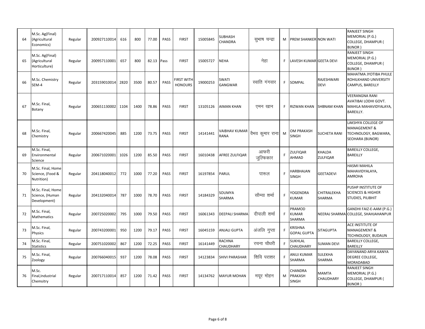| 64 | M.Sc. Ag(Final)<br>(Agricultural<br>Economics)       | Regular | 200927110014 | 616  | 800  | 77.00 | PASS | <b>FIRST</b>                 | 15005845 | SUBHASH<br>CHANDRA      | सुभाष चन्द्रा     | М  | <b>PREM SHANKER NON WATI</b>                |                                  | <b>RANJEET SINGH</b><br>MEMORIAL (P.G.)<br>COLLEGE, DHAMPUR (<br>BIJNOR)                  |
|----|------------------------------------------------------|---------|--------------|------|------|-------|------|------------------------------|----------|-------------------------|-------------------|----|---------------------------------------------|----------------------------------|-------------------------------------------------------------------------------------------|
| 65 | M.Sc. Ag(Final)<br>(Agricultural<br>Horticulture)    | Regular | 200957110001 | 657  | 800  | 82.13 | Pass | <b>FIRST</b>                 | 15005727 | <b>NEHA</b>             | नेहा              | F. | LAVESH KUMAR GEETA DEVI                     |                                  | RANJEET SINGH<br>MEMORIAL (P.G.)<br>COLLEGE, DHAMPUR (<br>BIJNOR)                         |
| 66 | M.Sc. Chemistry<br>SEM-4                             | Regular | 203159010014 | 2820 | 3500 | 80.57 | PASS | FIRST WITH<br><b>HONOURS</b> | 19000253 | SWATI<br><b>GANGWAR</b> | स्वाति गंगवार     | F. | SOMPAL                                      | RAJESHWARI<br><b>DEVI</b>        | MAHATMA JYOTIBA PHULE<br>ROHILKHAND UNIVERSITY<br>CAMPUS, BAREILLY                        |
| 67 | M.Sc. Final,<br>Botany                               | Regular | 200651130002 | 1104 | 1400 | 78.86 | PASS | <b>FIRST</b>                 | 13105126 | AIMAN KHAN              | एमन खान           | F  | <b>RIZWAN KHAN</b>                          | <b>SHBNAM KHAN</b>               | <b>VEERANGNA RANI</b><br>AVATIBAI LODHI GOVT.<br>MAHILA MAHAVIDYALAYA,<br>BAREILLY.       |
| 68 | M.Sc. Final,<br>Chemistry                            | Regular | 200667420045 | 885  | 1200 | 73.75 | PASS | <b>FIRST</b>                 | 14141441 | VAIBHAV KUMAR<br>RANA   | वैभव कुमार राना   | M  | <b>OM PRAKASH</b><br><b>SINGH</b>           | <b>SUCHETA RANI</b>              | LAKSHYA COLLEGE OF<br><b>MANAGEMENT &amp;</b><br>TECHNOLOGY, BAGWARA,<br>SEOHARA (BIJNOR) |
| 69 | M.Sc. Final.<br>Environmental<br>Science             | Regular | 200671020001 | 1026 | 1200 | 85.50 | PASS | <b>FIRST</b>                 | 16010438 | AFREE ZULFIQAR          | आफरी<br>जुल्फिकार | F  | ZULFIQAR<br>AHMAD                           | KHALDA<br><b>ZULFIQAR</b>        | BAREILLY COLLEGE,<br><b>BAREILLY</b>                                                      |
| 70 | M.Sc. Final, Home<br>Science, (Food &<br>Nutrition)  | Regular | 204118040012 | 772  | 1000 | 77.20 | PASS | <b>FIRST</b>                 | 16197854 | PARUL                   | पारूल             | F  | HARBHAJAN<br><b>SINGH</b>                   | GEETADEVI                        | <b>HASMI MAHILA</b><br>MAHAVIDYALAYA,<br>AMROHA                                           |
| 71 | M.Sc. Final, Home<br>Science, (Human<br>Development) | Regular | 204132040014 | 787  | 1000 | 78.70 | PASS | <b>FIRST</b>                 | 14184329 | SOUMYA<br>SHARMA        | सौम्या शर्मा      | F  | YOGENDRA<br>KUMAR                           | CHITRALEKHA<br>SHARMA            | PUSHP INSTITUTE OF<br><b>SCIENCES &amp; HIGHER</b><br>STUDIES, PILIBHIT                   |
| 72 | M.Sc. Final,<br>Mathematics                          | Regular | 200725020002 | 795  | 1000 | 79.50 | PASS | <b>FIRST</b>                 | 16061343 | <b>DEEPALI SHARMA</b>   | दीपाली शर्मा      | F  | PRAMOD<br><b>KUMAR</b><br>SHARMA            | <b>NEERAJ SHARMA</b>             | GANDHI FAIZ-E-AAM (P.G.)<br><b>COLLEGE, SHAHJAHANPUR</b>                                  |
| 73 | M.Sc. Final,<br>Physics                              | Regular | 200743200001 | 950  | 1200 | 79.17 | PASS | <b>FIRST</b>                 | 16045159 | <b>ANJALI GUPTA</b>     | अंजलि गुप्ता      | F  | <b><i>KRISHNA</i></b><br><b>GOPAL GUPTA</b> | SITAGUPTA                        | ACE INSTITUTE OF<br><b>MANAGEMENT &amp;</b><br>TECHNOLOGY, BUDAUN                         |
| 74 | M.Sc. Final,<br><b>Statistics</b>                    | Regular | 200751020002 | 867  | 1200 | 72.25 | PASS | <b>FIRST</b>                 | 16141449 | RACHNA<br>CHAUDHARY     | रचना चौधरी        | E  | SUKHLAL<br>CHAUDHARY                        | <b>SUMAN DEVI</b>                | BAREILLY COLLEGE,<br>BAREILLY                                                             |
| 75 | M.Sc. Final,<br>Zoology                              | Regular | 200766040015 | 937  | 1200 | 78.08 | PASS | <b>FIRST</b>                 | 14123834 | SHIVI PARASHAR          | शिवि पराशर        | F  | ANUJ KUMAR<br>SHARMA                        | SULEKHA<br>SHARMA                | DAYANAND ARYA KANYA<br>DEGREE COLLEGE,<br>MORADABAD                                       |
| 76 | M.Sc.<br>Final, Industrial<br>Chemsitry              | Regular | 200717110014 | 857  | 1200 | 71.42 | PASS | <b>FIRST</b>                 | 14134762 | <b>MAYUR MOHAN</b>      | मयूर मोहन         | м  | CHANDRA<br>PRAKASH<br><b>SINGH</b>          | <b>MAMTA</b><br><b>CHAUDHARY</b> | RANJEET SINGH<br>MEMORIAL (P.G.)<br>COLLEGE, DHAMPUR (<br>BIJNOR)                         |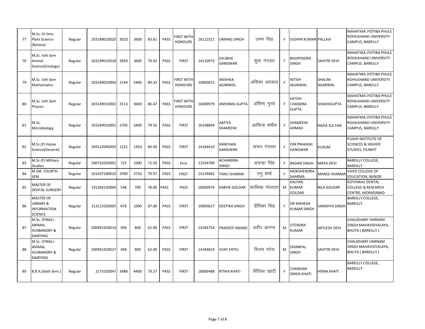| 77 | M.Sc. IV Sem,<br><b>Plant Science</b><br>(Botany)                      | Regular | 203189010020 | 3010 | 3600 | 83.61 | PASS | <b>FIRST WITH</b><br><b>HONOURS</b> | 16112521 | <b>UMANG SINGH</b>              | उमंग सिंह      | F. | <b>SUDHIR KUMAR PALLAVI</b>              |                     | MAHATMA JYOTIBA PHULE<br>ROHILKHAND UNIVERSITY<br>CAMPUS, BAREILLY      |
|----|------------------------------------------------------------------------|---------|--------------|------|------|-------|------|-------------------------------------|----------|---------------------------------|----------------|----|------------------------------------------|---------------------|-------------------------------------------------------------------------|
| 78 | M.Sc. Ivth Sem<br>Animal<br>Science(Zoology)                           | Regular | 203199010018 | 2859 | 3600 | 79.42 | PASS | <b>FIRST</b>                        | 14110973 | SHUBHA<br><b>GANGWAR</b>        | शुभा गंगवार    |    | BHUPENDRA<br><b>SINGH</b>                | <b>SAVITRI DEVI</b> | MAHATMA JYOTIBA PHULE<br>ROHILKHAND UNIVERSITY<br>CAMPUS, BAREILLY      |
| 79 | M.Sc. Ivth Sem<br><b>Mathematics</b>                                   | Regular | 203169010004 | 2144 | 2400 | 89.33 | PASS | <b>FIRST WITH</b><br><b>HONOURS</b> | 19000015 | ANSHIKA<br><b>AGARWAL</b>       | अंशिका अग्रवाल |    | NITISH<br><b>AGARWAL</b>                 | SHALINI<br>AGARWAL  | MAHATMA JYOTIBA PHULE<br>ROHILKHAND UNIVERSITY<br>CAMPUS, BAREILLY      |
| 80 | M.Sc. Ivth Sem<br>Physics                                              | Regular | 203149010002 | 3113 | 3600 | 86.47 | PASS | <b>FIRST WITH</b><br><b>HONOURS</b> | 16009979 | <b>ANSHIMA GUPTA</b>            | अंशिमा गुप्ता  | F. | SATSIH<br><b>CHANDRA</b><br><b>GUPTA</b> | <b>SHASHIGUPTA</b>  | MAHATMA JYOTIBA PHULE<br>ROHILKHAND UNIVERSITY<br>CAMPUS, BAREILLY      |
| 81 | M.Sc.<br>Microbiology,                                                 | Regular | 203269010001 | 2705 | 3400 | 79.56 | PASS | <b>FIRST</b>                        | 16108894 | AAFIYA<br>SHAMEEM               | आफिया शमीम     |    | SHAMEEM<br>AHMAD                         | RAZIA SULTAN        | MAHATMA JYOTIBA PHULE<br>ROHILKHAND UNIVERSITY<br>CAMPUS, BAREILLY      |
| 82 | M.Sc.(F) Home<br>Science(General)                                      | Regular | 204122040003 | 1231 | 1450 | 84.90 | PASS | <b>FIRST</b>                        | 14184410 | KANCHAN<br>GANGWAR              | कंचन गंगवार    | F  | OM PRAKASH<br>GANGWAR                    | KUSUM               | PUSHP INSTITUTE OF<br><b>SCIENCES &amp; HIGHER</b><br>STUDIES, PILIBHIT |
| 83 | M.Sc.(F) Military<br><b>Studies</b>                                    | Regular | 200731020001 | 725  | 1000 | 72.50 | PASS | First                               | 12104780 | <b>ACHANDRA</b><br><b>SINGH</b> | अचन्द्रा सिंह  | F  | <b>BADAN SINGH</b>                       | <b>MAYA DEVI</b>    | BAREILLY COLLEGE,<br>BAREILLY                                           |
| 84 | M.SW. FOURTH<br><b>SEM</b>                                             | Regular | 203207180010 | 2999 | 3750 | 79.97 | PASS | <b>FIRST</b>                        | 14139462 | TANU SHARMA                     | तनु शर्मा      |    | MOKSHENDRA<br>SHARMA                     | MANOJ SHARMA        | <b>VIVEK COLLEGE OF</b><br><b>EDUCATION, BIJNOR</b>                     |
| 85 | <b>MASTER OF</b><br><b>DENTAL SURGERY</b>                              | Regular | 191266130004 | 546  | 700  | 78.00 | PASS | PASS                                | 18000974 | <b>KABYIK GOLDAR</b>            | काब्यिक गोलदार | M  | KALYAN<br><b>KUMAR</b><br>GOLDAR         | <b>BILA GOLDAR</b>  | KOTHIWAL DENTAL<br><b>COLLEGE &amp; RESEARCH</b><br>CENTRE, MORADABAD   |
| 86 | <b>MASTER OF</b><br>LIBRARY &<br><b>INFORMATION</b><br><b>SCIENCE</b>  | Regular | 213121020005 | 876  | 1000 | 87.60 | PASS | <b>FIRST</b>                        | 19000017 | <b>DEEPIKA SINGH</b>            | दीपिका सिंह    |    | <b>DR MAHESH</b><br><b>KUMAR SINGH</b>   | SANDHYA SINGH       | <b>BAREILLY COLLEGE,</b><br>BAREILLY                                    |
| 87 | M.Sc. (FINAL) -<br>ANIMAL<br><b>HUSBANDRY &amp;</b><br><b>DAIRYING</b> | Regular | 200941420016 | 496  | 800  | 62.00 | PASS | <b>FIRST</b>                        | 14184754 | PRADEEP ANAND                   | प्रदीप आनन्द   | M  | <b>JITENDRA</b><br>KUMAR                 | <b>MITLESH DEVI</b> | CHAUDHARY HARNAM<br>SINGH MAHAVIDYALAYA,<br>BHUTA (BAREILLY)            |
| 88 | M.Sc. (FINAL) -<br>ANIMAL<br><b>HUSBANDRY &amp;</b><br><b>DAIRYING</b> | Regular | 200941420027 | 496  | 800  | 62.00 | PASS | <b>FIRST</b>                        | 14184819 | <b>VIJAY PATEL</b>              | विजय पटेल      | M  | DHANPAL<br><b>SINGH</b>                  | <b>SAVITRI DEVI</b> | CHAUDHARY HARNAM<br>SINGH MAHAVIDYALAYA,<br><b>BHUTA (BAREILLY)</b>     |
| 89 | B.B.A.(Sixth Sem.)                                                     | Regular | 2171020047   | 3488 | 4400 | 79.27 | PASS | <b>FIRST</b>                        | 18006488 | RITIKA KHATI                    | रितिका खाटी    |    | CHANDAN<br><b>SINGH KHATI</b>            | <b>HEMA KHATI</b>   | BAREILLY COLLEGE,<br>BAREILLY                                           |